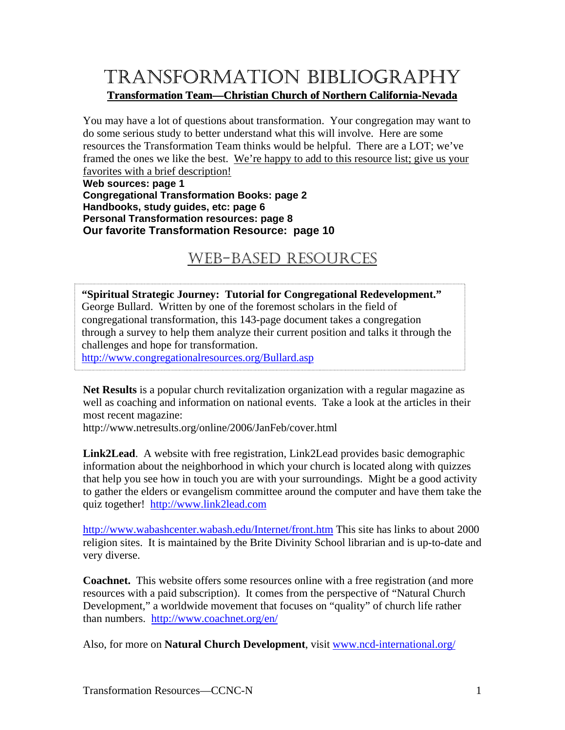# TRANSFORMATION BIBLIOGRAPHY **Transformation Team—Christian Church of Northern California-Nevada**

You may have a lot of questions about transformation. Your congregation may want to do some serious study to better understand what this will involve. Here are some resources the Transformation Team thinks would be helpful. There are a LOT; we've framed the ones we like the best. We're happy to add to this resource list; give us your favorites with a brief description!

**Web sources: page 1 Congregational Transformation Books: page 2 Handbooks, study guides, etc: page 6 Personal Transformation resources: page 8 Our favorite Transformation Resource: page 10** 

# WEB-BASED RESOURCES

**"Spiritual Strategic Journey: Tutorial for Congregational Redevelopment."** George Bullard. Written by one of the foremost scholars in the field of congregational transformation, this 143-page document takes a congregation through a survey to help them analyze their current position and talks it through the challenges and hope for transformation.

<http://www.congregationalresources.org/Bullard.asp>

**Net Results** is a popular church revitalization organization with a regular magazine as well as coaching and information on national events. Take a look at the articles in their most recent magazine:

http://www.netresults.org/online/2006/JanFeb/cover.html

**Link2Lead**. A website with free registration, Link2Lead provides basic demographic information about the neighborhood in which your church is located along with quizzes that help you see how in touch you are with your surroundings. Might be a good activity to gather the elders or evangelism committee around the computer and have them take the quiz together! [http://www.link2lead.com](http://www.link2lead.com/)

http://www.wabashcenter.wabash.edu/Internet/front.htm This site has links to about 2000 religion sites. It is maintained by the Brite Divinity School librarian and is up-to-date and very diverse.

**Coachnet.** This website offers some resources online with a free registration (and more resources with a paid subscription). It comes from the perspective of "Natural Church Development," a worldwide movement that focuses on "quality" of church life rather than numbers. <http://www.coachnet.org/en/>

Also, for more on **Natural Church Development**, visit [www.ncd-international.org/](http://www.ncd-international.org/)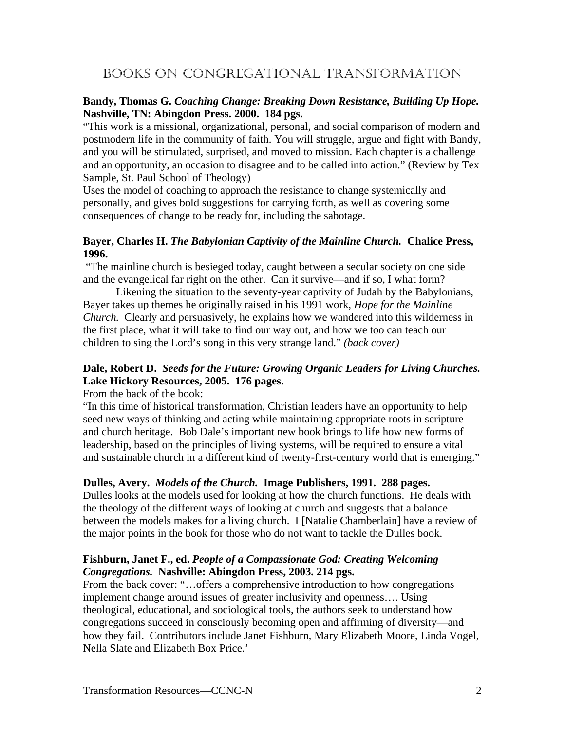### BOOKS ON CONGREGATIONAL TRANSFORMATION

#### **Bandy, Thomas G.** *Coaching Change: Breaking Down Resistance, Building Up Hope.*  **Nashville, TN: Abingdon Press. 2000. 184 pgs.**

"This work is a missional, organizational, personal, and social comparison of modern and postmodern life in the community of faith. You will struggle, argue and fight with Bandy, and you will be stimulated, surprised, and moved to mission. Each chapter is a challenge and an opportunity, an occasion to disagree and to be called into action." (Review by Tex Sample, St. Paul School of Theology)

Uses the model of coaching to approach the resistance to change systemically and personally, and gives bold suggestions for carrying forth, as well as covering some consequences of change to be ready for, including the sabotage.

#### **Bayer, Charles H.** *The Babylonian Captivity of the Mainline Church.* **Chalice Press, 1996.**

 "The mainline church is besieged today, caught between a secular society on one side and the evangelical far right on the other. Can it survive—and if so, I what form?

 Likening the situation to the seventy-year captivity of Judah by the Babylonians, Bayer takes up themes he originally raised in his 1991 work, *Hope for the Mainline Church.* Clearly and persuasively, he explains how we wandered into this wilderness in the first place, what it will take to find our way out, and how we too can teach our children to sing the Lord's song in this very strange land." *(back cover)*

#### **Dale, Robert D.** *Seeds for the Future: Growing Organic Leaders for Living Churches.*  **Lake Hickory Resources, 2005. 176 pages.**

From the back of the book:

"In this time of historical transformation, Christian leaders have an opportunity to help seed new ways of thinking and acting while maintaining appropriate roots in scripture and church heritage. Bob Dale's important new book brings to life how new forms of leadership, based on the principles of living systems, will be required to ensure a vital and sustainable church in a different kind of twenty-first-century world that is emerging."

#### **Dulles, Avery.** *Models of the Church.* **Image Publishers, 1991. 288 pages.**

Dulles looks at the models used for looking at how the church functions. He deals with the theology of the different ways of looking at church and suggests that a balance between the models makes for a living church. I [Natalie Chamberlain] have a review of the major points in the book for those who do not want to tackle the Dulles book.

#### **Fishburn, Janet F., ed.** *People of a Compassionate God: Creating Welcoming Congregations.* **Nashville: Abingdon Press, 2003. 214 pgs.**

From the back cover: "...offers a comprehensive introduction to how congregations implement change around issues of greater inclusivity and openness…. Using theological, educational, and sociological tools, the authors seek to understand how congregations succeed in consciously becoming open and affirming of diversity—and how they fail. Contributors include Janet Fishburn, Mary Elizabeth Moore, Linda Vogel, Nella Slate and Elizabeth Box Price.'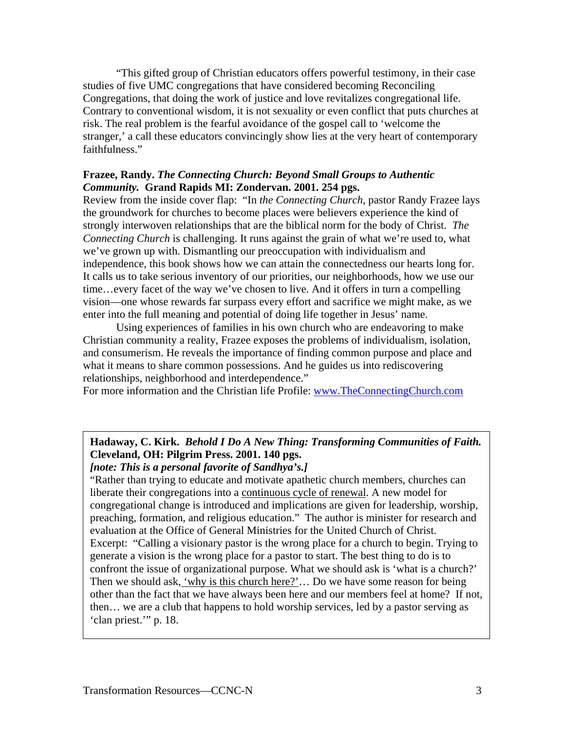"This gifted group of Christian educators offers powerful testimony, in their case studies of five UMC congregations that have considered becoming Reconciling Congregations, that doing the work of justice and love revitalizes congregational life. Contrary to conventional wisdom, it is not sexuality or even conflict that puts churches at risk. The real problem is the fearful avoidance of the gospel call to 'welcome the stranger,' a call these educators convincingly show lies at the very heart of contemporary faithfulness."

#### **Frazee, Randy.** *The Connecting Church: Beyond Small Groups to Authentic Community.* **Grand Rapids MI: Zondervan. 2001. 254 pgs.**

Review from the inside cover flap: "In *the Connecting Church*, pastor Randy Frazee lays the groundwork for churches to become places were believers experience the kind of strongly interwoven relationships that are the biblical norm for the body of Christ. *The Connecting Church* is challenging. It runs against the grain of what we're used to, what we've grown up with. Dismantling our preoccupation with individualism and independence, this book shows how we can attain the connectedness our hearts long for. It calls us to take serious inventory of our priorities, our neighborhoods, how we use our time…every facet of the way we've chosen to live. And it offers in turn a compelling vision—one whose rewards far surpass every effort and sacrifice we might make, as we enter into the full meaning and potential of doing life together in Jesus' name.

 Using experiences of families in his own church who are endeavoring to make Christian community a reality, Frazee exposes the problems of individualism, isolation, and consumerism. He reveals the importance of finding common purpose and place and what it means to share common possessions. And he guides us into rediscovering relationships, neighborhood and interdependence."

For more information and the Christian life Profile: [www.TheConnectingChurch.com](http://www.theconnectingchurch.com/)

#### **Hadaway, C. Kirk.** *Behold I Do A New Thing: Transforming Communities of Faith.*  **Cleveland, OH: Pilgrim Press. 2001. 140 pgs.**  *[note: This is a personal favorite of Sandhya's.]*

"Rather than trying to educate and motivate apathetic church members, churches can liberate their congregations into a continuous cycle of renewal. A new model for congregational change is introduced and implications are given for leadership, worship, preaching, formation, and religious education." The author is minister for research and evaluation at the Office of General Ministries for the United Church of Christ. Excerpt: "Calling a visionary pastor is the wrong place for a church to begin. Trying to generate a vision is the wrong place for a pastor to start. The best thing to do is to confront the issue of organizational purpose. What we should ask is 'what is a church?' Then we should ask, 'why is this church here?'… Do we have some reason for being other than the fact that we have always been here and our members feel at home? If not, then… we are a club that happens to hold worship services, led by a pastor serving as 'clan priest.'" p. 18.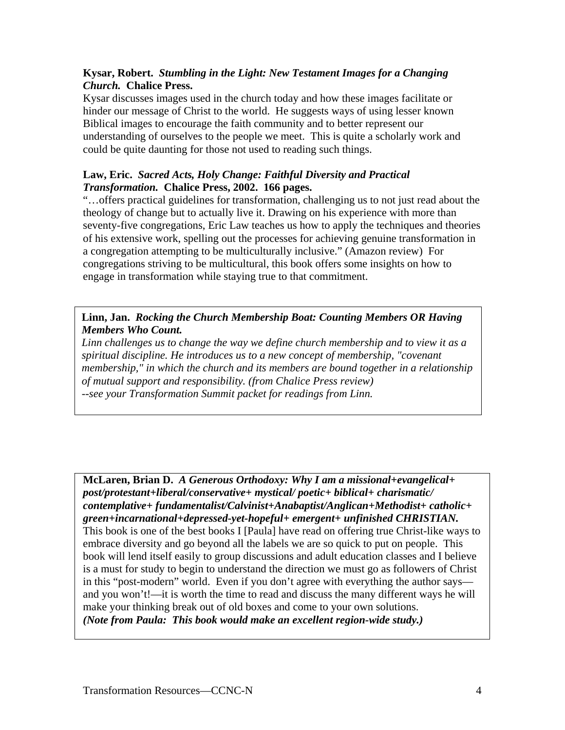#### **Kysar, Robert.** *Stumbling in the Light: New Testament Images for a Changing Church.* **Chalice Press.**

Kysar discusses images used in the church today and how these images facilitate or hinder our message of Christ to the world. He suggests ways of using lesser known Biblical images to encourage the faith community and to better represent our understanding of ourselves to the people we meet. This is quite a scholarly work and could be quite daunting for those not used to reading such things.

#### **Law, Eric.** *Sacred Acts, Holy Change: Faithful Diversity and Practical Transformation.* **Chalice Press, 2002. 166 pages.**

"…offers practical guidelines for transformation, challenging us to not just read about the theology of change but to actually live it. Drawing on his experience with more than seventy-five congregations, Eric Law teaches us how to apply the techniques and theories of his extensive work, spelling out the processes for achieving genuine transformation in a congregation attempting to be multiculturally inclusive." (Amazon review) For congregations striving to be multicultural, this book offers some insights on how to engage in transformation while staying true to that commitment.

#### **Linn, Jan.** *Rocking the Church Membership Boat: Counting Members OR Having Members Who Count.*

*Linn challenges us to change the way we define church membership and to view it as a spiritual discipline. He introduces us to a new concept of membership, "covenant membership," in which the church and its members are bound together in a relationship of mutual support and responsibility. (from Chalice Press review) --see your Transformation Summit packet for readings from Linn.* 

**McLaren, Brian D.** *A Generous Orthodoxy: Why I am a missional+evangelical+ post/protestant+liberal/conservative+ mystical/ poetic+ biblical+ charismatic/ contemplative+ fundamentalist/Calvinist+Anabaptist/Anglican+Methodist+ catholic+ green+incarnational+depressed-yet-hopeful+ emergent+ unfinished CHRISTIAN.*  This book is one of the best books I [Paula] have read on offering true Christ-like ways to embrace diversity and go beyond all the labels we are so quick to put on people. This book will lend itself easily to group discussions and adult education classes and I believe is a must for study to begin to understand the direction we must go as followers of Christ in this "post-modern" world. Even if you don't agree with everything the author says and you won't!—it is worth the time to read and discuss the many different ways he will make your thinking break out of old boxes and come to your own solutions. *(Note from Paula: This book would make an excellent region-wide study.)*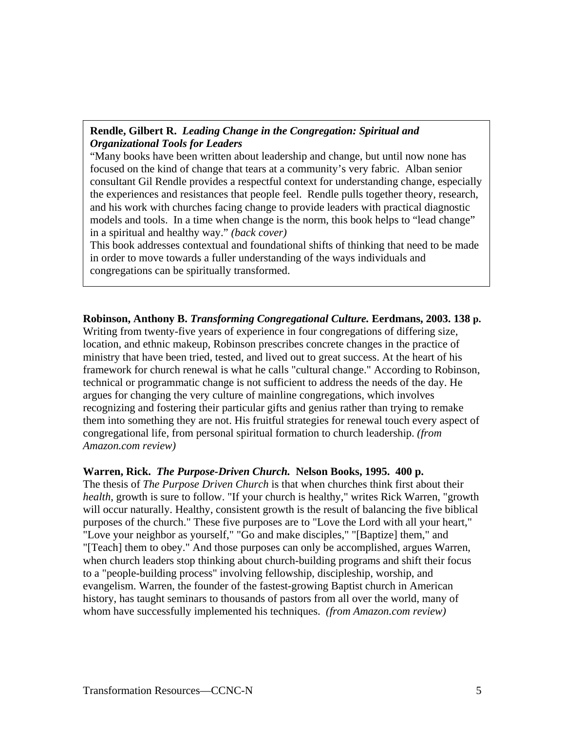#### **Rendle, Gilbert R.** *Leading Change in the Congregation: Spiritual and Organizational Tools for Leaders*

"Many books have been written about leadership and change, but until now none has focused on the kind of change that tears at a community's very fabric. Alban senior consultant Gil Rendle provides a respectful context for understanding change, especially the experiences and resistances that people feel. Rendle pulls together theory, research, and his work with churches facing change to provide leaders with practical diagnostic models and tools. In a time when change is the norm, this book helps to "lead change" in a spiritual and healthy way." *(back cover)*

This book addresses contextual and foundational shifts of thinking that need to be made in order to move towards a fuller understanding of the ways individuals and congregations can be spiritually transformed.

**Robinson, Anthony B.** *Transforming Congregational Culture.* **Eerdmans, 2003. 138 p.** Writing from twenty-five years of experience in four congregations of differing size, location, and ethnic makeup, Robinson prescribes concrete changes in the practice of ministry that have been tried, tested, and lived out to great success. At the heart of his framework for church renewal is what he calls "cultural change." According to Robinson, technical or programmatic change is not sufficient to address the needs of the day. He argues for changing the very culture of mainline congregations, which involves recognizing and fostering their particular gifts and genius rather than trying to remake them into something they are not. His fruitful strategies for renewal touch every aspect of congregational life, from personal spiritual formation to church leadership. *(from Amazon.com review)* 

#### **Warren, Rick.** *The Purpose-Driven Church.* **Nelson Books, 1995. 400 p.**

The thesis of *The Purpose Driven Church* is that when churches think first about their *health*, growth is sure to follow. "If your church is healthy," writes Rick Warren, "growth will occur naturally. Healthy, consistent growth is the result of balancing the five biblical purposes of the church." These five purposes are to "Love the Lord with all your heart," "Love your neighbor as yourself," "Go and make disciples," "[Baptize] them," and "[Teach] them to obey." And those purposes can only be accomplished, argues Warren, when church leaders stop thinking about church-building programs and shift their focus to a "people-building process" involving fellowship, discipleship, worship, and evangelism. Warren, the founder of the fastest-growing Baptist church in American history, has taught seminars to thousands of pastors from all over the world, many of whom have successfully implemented his techniques. *(from Amazon.com review)*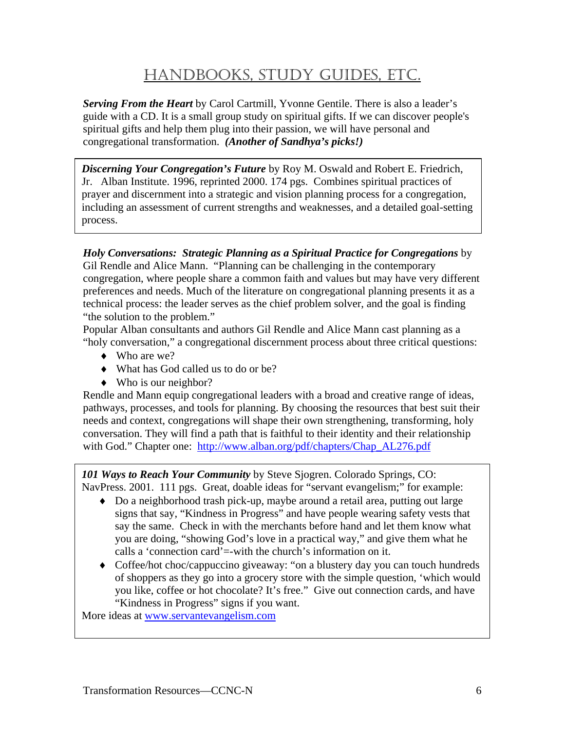# HANDBOOKS, STUDY GUIDES, ETC.

*Serving From the Heart* by Carol Cartmill, Yvonne Gentile. There is also a leader's guide with a CD. It is a small group study on spiritual gifts. If we can discover people's spiritual gifts and help them plug into their passion, we will have personal and congregational transformation. *(Another of Sandhya's picks!)*

*Discerning Your Congregation's Future* by Roy M. Oswald and Robert E. Friedrich, Jr. Alban Institute. 1996, reprinted 2000. 174 pgs.Combines spiritual practices of prayer and discernment into a strategic and vision planning process for a congregation, including an assessment of current strengths and weaknesses, and a detailed goal-setting process.

*Holy Conversations: Strategic Planning as a Spiritual Practice for Congregations* by Gil Rendle and Alice Mann. "Planning can be challenging in the contemporary congregation, where people share a common faith and values but may have very different preferences and needs. Much of the literature on congregational planning presents it as a technical process: the leader serves as the chief problem solver, and the goal is finding "the solution to the problem."

Popular Alban consultants and authors Gil Rendle and Alice Mann cast planning as a "holy conversation," a congregational discernment process about three critical questions:

- ♦ Who are we?
- ♦ What has God called us to do or be?
- $\blacklozenge$  Who is our neighbor?

Rendle and Mann equip congregational leaders with a broad and creative range of ideas, pathways, processes, and tools for planning. By choosing the resources that best suit their needs and context, congregations will shape their own strengthening, transforming, holy conversation. They will find a path that is faithful to their identity and their relationship with God." Chapter one: [http://www.alban.org/pdf/chapters/Chap\\_AL276.pdf](http://www.alban.org/pdf/chapters/Chap_AL276.pdf)

*101 Ways to Reach Your Community* by Steve Sjogren. Colorado Springs, CO: NavPress. 2001. 111 pgs. Great, doable ideas for "servant evangelism;" for example:

- ♦ Do a neighborhood trash pick-up, maybe around a retail area, putting out large signs that say, "Kindness in Progress" and have people wearing safety vests that say the same. Check in with the merchants before hand and let them know what you are doing, "showing God's love in a practical way," and give them what he calls a 'connection card'=-with the church's information on it.
- ♦ Coffee/hot choc/cappuccino giveaway: "on a blustery day you can touch hundreds of shoppers as they go into a grocery store with the simple question, 'which would you like, coffee or hot chocolate? It's free." Give out connection cards, and have "Kindness in Progress" signs if you want.

More ideas at [www.servantevangelism.com](http://www.servantevangelism.com/)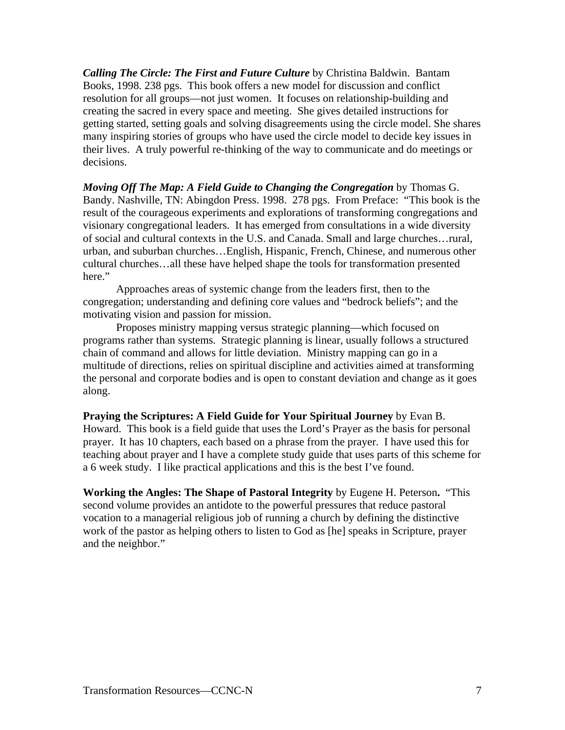*Calling The Circle: The First and Future Culture* by Christina Baldwin. Bantam Books, 1998. 238 pgs. This book offers a new model for discussion and conflict resolution for all groups—not just women. It focuses on relationship-building and creating the sacred in every space and meeting. She gives detailed instructions for getting started, setting goals and solving disagreements using the circle model. She shares many inspiring stories of groups who have used the circle model to decide key issues in their lives. A truly powerful re-thinking of the way to communicate and do meetings or decisions.

*Moving Off The Map: A Field Guide to Changing the Congregation* by Thomas G. Bandy. Nashville, TN: Abingdon Press. 1998. 278 pgs. From Preface: "This book is the result of the courageous experiments and explorations of transforming congregations and visionary congregational leaders. It has emerged from consultations in a wide diversity of social and cultural contexts in the U.S. and Canada. Small and large churches…rural, urban, and suburban churches…English, Hispanic, French, Chinese, and numerous other cultural churches…all these have helped shape the tools for transformation presented here."

 Approaches areas of systemic change from the leaders first, then to the congregation; understanding and defining core values and "bedrock beliefs"; and the motivating vision and passion for mission.

 Proposes ministry mapping versus strategic planning—which focused on programs rather than systems. Strategic planning is linear, usually follows a structured chain of command and allows for little deviation. Ministry mapping can go in a multitude of directions, relies on spiritual discipline and activities aimed at transforming the personal and corporate bodies and is open to constant deviation and change as it goes along.

# **Praying the Scriptures: A Field Guide for Your Spiritual Journey** by Evan B.

Howard.This book is a field guide that uses the Lord's Prayer as the basis for personal prayer. It has 10 chapters, each based on a phrase from the prayer. I have used this for teaching about prayer and I have a complete study guide that uses parts of this scheme for a 6 week study. I like practical applications and this is the best I've found.

**Working the Angles: The Shape of Pastoral Integrity** by Eugene H. Peterson**.** "This second volume provides an antidote to the powerful pressures that reduce pastoral vocation to a managerial religious job of running a church by defining the distinctive work of the pastor as helping others to listen to God as [he] speaks in Scripture, prayer and the neighbor."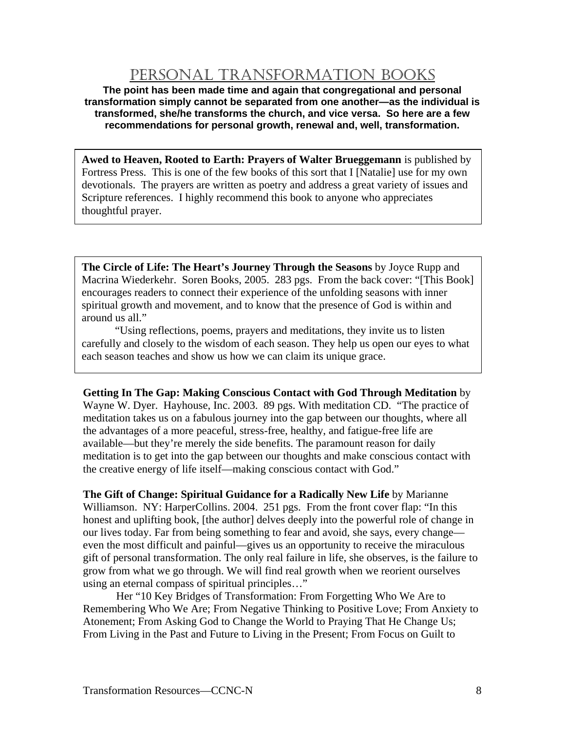### PERSONAL TRANSFORMATION BOOKS

**The point has been made time and again that congregational and personal transformation simply cannot be separated from one another—as the individual is transformed, she/he transforms the church, and vice versa. So here are a few recommendations for personal growth, renewal and, well, transformation.** 

**Awed to Heaven, Rooted to Earth: Prayers of Walter Brueggemann** is published by Fortress Press. This is one of the few books of this sort that I [Natalie] use for my own devotionals. The prayers are written as poetry and address a great variety of issues and Scripture references. I highly recommend this book to anyone who appreciates thoughtful prayer.

**The Circle of Life: The Heart's Journey Through the Seasons** by Joyce Rupp and Macrina Wiederkehr. Soren Books, 2005. 283 pgs. From the back cover: "[This Book] encourages readers to connect their experience of the unfolding seasons with inner spiritual growth and movement, and to know that the presence of God is within and around us all."

 "Using reflections, poems, prayers and meditations, they invite us to listen carefully and closely to the wisdom of each season. They help us open our eyes to what each season teaches and show us how we can claim its unique grace.

**Getting In The Gap: Making Conscious Contact with God Through Meditation** by Wayne W. Dyer. Hayhouse, Inc. 2003. 89 pgs. With meditation CD. "The practice of meditation takes us on a fabulous journey into the gap between our thoughts, where all the advantages of a more peaceful, stress-free, healthy, and fatigue-free life are available—but they're merely the side benefits. The paramount reason for daily meditation is to get into the gap between our thoughts and make conscious contact with the creative energy of life itself—making conscious contact with God."

**The Gift of Change: Spiritual Guidance for a Radically New Life** by Marianne Williamson. NY: HarperCollins. 2004. 251 pgs. From the front cover flap: "In this honest and uplifting book, [the author] delves deeply into the powerful role of change in our lives today. Far from being something to fear and avoid, she says, every change even the most difficult and painful—gives us an opportunity to receive the miraculous gift of personal transformation. The only real failure in life, she observes, is the failure to grow from what we go through. We will find real growth when we reorient ourselves using an eternal compass of spiritual principles…"

 Her "10 Key Bridges of Transformation: From Forgetting Who We Are to Remembering Who We Are; From Negative Thinking to Positive Love; From Anxiety to Atonement; From Asking God to Change the World to Praying That He Change Us; From Living in the Past and Future to Living in the Present; From Focus on Guilt to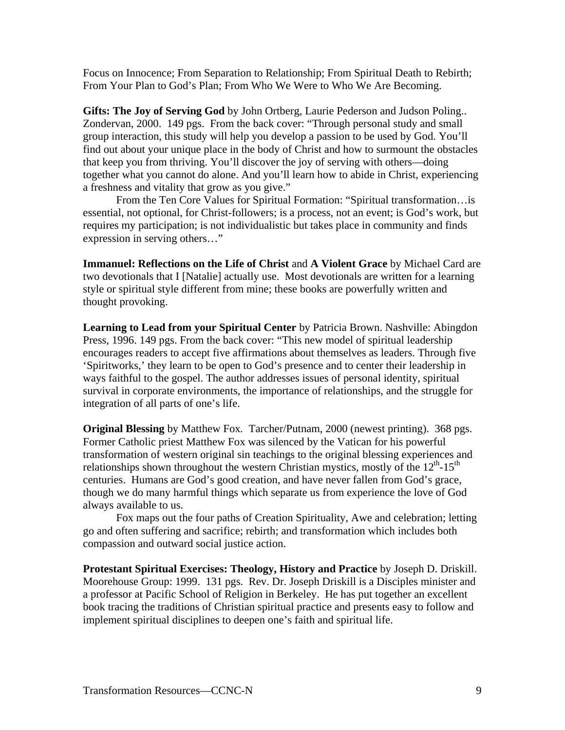Focus on Innocence; From Separation to Relationship; From Spiritual Death to Rebirth; From Your Plan to God's Plan; From Who We Were to Who We Are Becoming.

**Gifts: The Joy of Serving God** by John Ortberg, Laurie Pederson and Judson Poling.. Zondervan, 2000. 149 pgs. From the back cover: "Through personal study and small group interaction, this study will help you develop a passion to be used by God. You'll find out about your unique place in the body of Christ and how to surmount the obstacles that keep you from thriving. You'll discover the joy of serving with others—doing together what you cannot do alone. And you'll learn how to abide in Christ, experiencing a freshness and vitality that grow as you give."

 From the Ten Core Values for Spiritual Formation: "Spiritual transformation…is essential, not optional, for Christ-followers; is a process, not an event; is God's work, but requires my participation; is not individualistic but takes place in community and finds expression in serving others…"

**Immanuel: Reflections on the Life of Christ** and **A Violent Grace** by Michael Card are two devotionals that I [Natalie] actually use. Most devotionals are written for a learning style or spiritual style different from mine; these books are powerfully written and thought provoking.

**Learning to Lead from your Spiritual Center** by Patricia Brown. Nashville: Abingdon Press, 1996. 149 pgs. From the back cover: "This new model of spiritual leadership encourages readers to accept five affirmations about themselves as leaders. Through five 'Spiritworks,' they learn to be open to God's presence and to center their leadership in ways faithful to the gospel. The author addresses issues of personal identity, spiritual survival in corporate environments, the importance of relationships, and the struggle for integration of all parts of one's life.

**Original Blessing** by Matthew Fox*.* Tarcher/Putnam, 2000 (newest printing). 368 pgs. Former Catholic priest Matthew Fox was silenced by the Vatican for his powerful transformation of western original sin teachings to the original blessing experiences and relationships shown throughout the western Christian mystics, mostly of the  $12<sup>th</sup>$ -15<sup>th</sup> centuries. Humans are God's good creation, and have never fallen from God's grace, though we do many harmful things which separate us from experience the love of God always available to us.

 Fox maps out the four paths of Creation Spirituality, Awe and celebration; letting go and often suffering and sacrifice; rebirth; and transformation which includes both compassion and outward social justice action.

**Protestant Spiritual Exercises: Theology, History and Practice** by Joseph D. Driskill. Moorehouse Group: 1999. 131 pgs. Rev. Dr. Joseph Driskill is a Disciples minister and a professor at Pacific School of Religion in Berkeley. He has put together an excellent book tracing the traditions of Christian spiritual practice and presents easy to follow and implement spiritual disciplines to deepen one's faith and spiritual life.